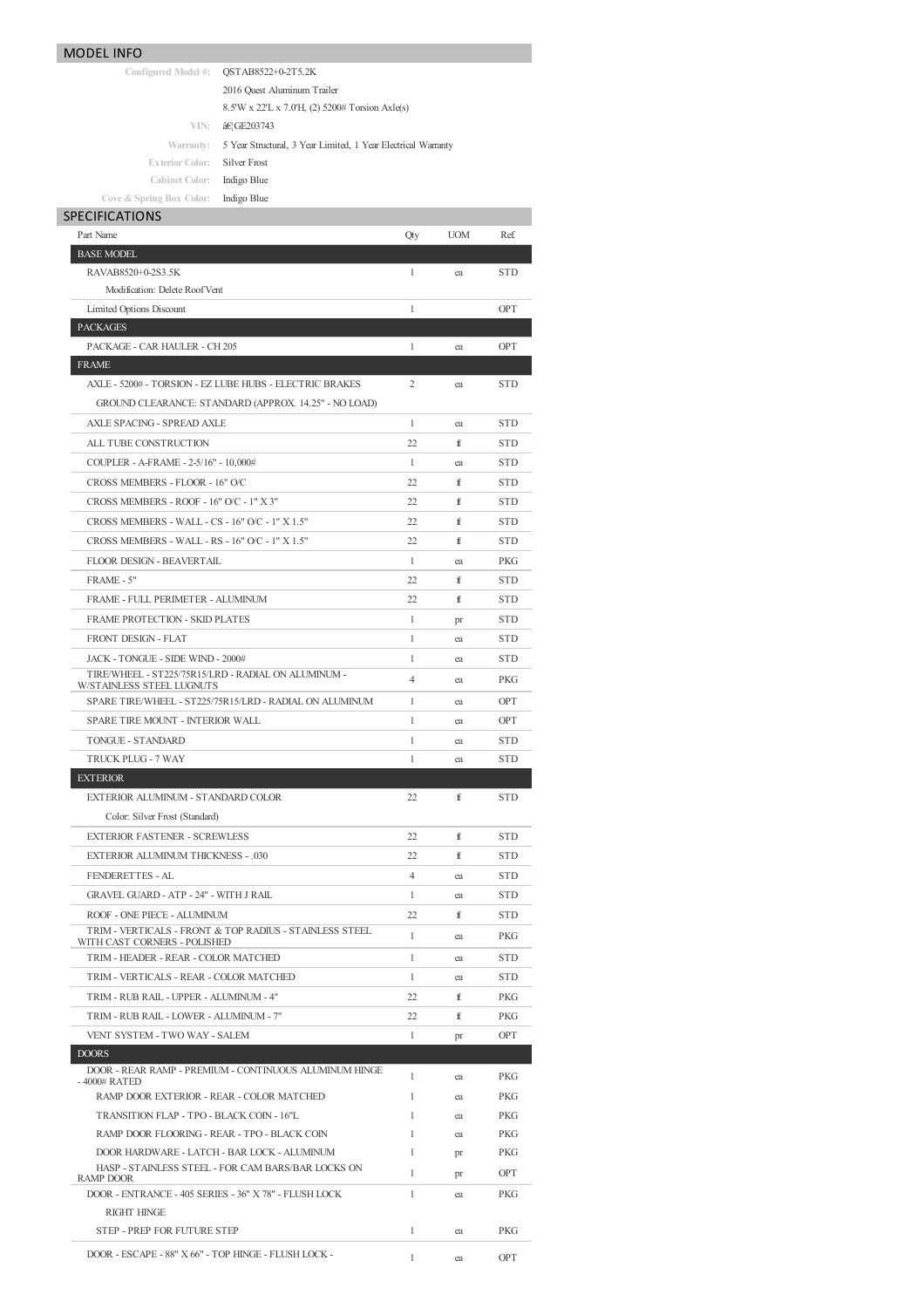## MODEL INFO

|                                     | Configured Model #:  OSTAB8522+0-2T5.2K                       |
|-------------------------------------|---------------------------------------------------------------|
|                                     | 2016 Quest Aluminum Trailer                                   |
|                                     | 8.5'W x 22'L x 7.0'H, (2) 5200# Torsion Axle(s)               |
| VIN:                                | âC GE203743                                                   |
| Warranty:                           | 5 Year Structural, 3 Year Limited, 1 Year Electrical Warranty |
| <b>Exterior Color:</b> Silver Frost |                                                               |
| <b>Cabinet Color:</b>               | Indigo Blue                                                   |
| Cove & Spring Box Color:            | Indigo Blue                                                   |

## SPECIFICATIONS

| Part Name                                                                        | Qty            | UOM | Ref.       |
|----------------------------------------------------------------------------------|----------------|-----|------------|
| <b>BASE MODEL</b>                                                                |                |     |            |
| RAVAB8520+0-2S3.5K                                                               | 1              | ea  | <b>STD</b> |
| Modification: Delete Roof Vent                                                   |                |     |            |
| Limited Options Discount                                                         | 1              |     | <b>OPT</b> |
| <b>PACKAGES</b>                                                                  |                |     |            |
| PACKAGE - CAR HAULER - CH 205                                                    | 1              | ea  | <b>OPT</b> |
| <b>FRAME</b>                                                                     |                |     |            |
| AXLE - 5200# - TORSION - EZ LUBE HUBS - ELECTRIC BRAKES                          | $\overline{c}$ | ea  | <b>STD</b> |
| GROUND CLEARANCE: STANDARD (APPROX. 14.25" - NO LOAD)                            |                |     |            |
| AXLE SPACING - SPREAD AXLE                                                       | $\mathbf{1}$   | ea  | <b>STD</b> |
| ALL TUBE CONSTRUCTION                                                            | 22             | ff  | <b>STD</b> |
| COUPLER - A-FRAME - 2-5/16" - 10,000#                                            | 1              | ea  | STD        |
| CROSS MEMBERS - FLOOR - 16" O/C                                                  | 22             | ft  | STD        |
| CROSS MEMBERS - ROOF - 16" O/C - 1" X 3"                                         | 22             | ft  | <b>STD</b> |
| CROSS MEMBERS - WALL - CS - 16" O/C - 1" X 1.5"                                  | 22             | ff  | <b>STD</b> |
| CROSS MEMBERS - WALL - RS - 16" O/C - 1" X 1.5"                                  | 22             | ft  | <b>STD</b> |
|                                                                                  |                |     |            |
| FLOOR DESIGN - BEAVERTAIL<br>FRAME - 5"                                          | $\mathbf{1}$   | ea  | <b>PKG</b> |
|                                                                                  | 22             | ft  | <b>STD</b> |
| FRAME - FULL PERIMETER - ALUMINUM                                                | 22             | ft  | <b>STD</b> |
| <b>FRAME PROTECTION - SKID PLATES</b>                                            | 1              | pr  | STD        |
| <b>FRONT DESIGN - FLAT</b>                                                       | 1              | ea  | <b>STD</b> |
| JACK - TONGUE - SIDE WIND - 2000#                                                | 1              | ea  | <b>STD</b> |
| TIRE/WHEEL - ST225/75R15/LRD - RADIAL ON ALUMINUM -<br>W/STAINLESS STEEL LUGNUTS | 4              | ea  | PKG        |
| SPARE TIRE/WHEEL - ST225/75R15/LRD - RADIAL ON ALUMINUM                          | 1              | ea  | <b>OPT</b> |
| SPARE TIRE MOUNT - INTERIOR WALL                                                 | 1              | ea  | <b>OPT</b> |
| TONGUE - STANDARD                                                                | 1              | ea  | STD        |
| TRUCK PLUG - 7 WAY                                                               | 1              | ea  | <b>STD</b> |
| <b>EXTERIOR</b>                                                                  |                |     |            |
| EXTERIOR ALUMINUM - STANDARD COLOR                                               | 22             | ff  | <b>STD</b> |
| Color: Silver Frost (Standard)                                                   |                |     |            |
| <b>EXTERIOR FASTENER - SCREWLESS</b>                                             | 22             | ff  | <b>STD</b> |
| <b>EXTERIOR ALUMINUM THICKNESS - .030</b>                                        | 22             | ft  | <b>STD</b> |
| FENDERETTES - AL                                                                 | 4              | ea  | <b>STD</b> |
| <b>GRAVEL GUARD - ATP - 24" - WITH J RAIL</b>                                    | 1              | ea  | <b>STD</b> |
| ROOF - ONE PIECE - ALUMINUM                                                      | 22             | ft  | STD        |
| TRIM - VERTICALS - FRONT & TOP RADIUS - STAINLESS STEEL                          | 1              | ea  | PKG        |
| WITH CAST CORNERS - POLISHED<br>TRIM - HEADER - REAR - COLOR MATCHED             | 1              | ea  | <b>STD</b> |
| TRIM - VERTICALS - REAR - COLOR MATCHED                                          | 1              | ea  | <b>STD</b> |
|                                                                                  | 22             |     |            |
| TRIM - RUB RAIL - UPPER - ALUMINUM - 4"                                          |                | ft  | PKG        |
| TRIM - RUB RAIL - LOWER - ALUMINUM - 7"                                          | 22             | ff  | <b>PKG</b> |
| VENT SYSTEM - TWO WAY - SALEM<br><b>DOORS</b>                                    | 1              | pr  | <b>OPT</b> |
| DOOR - REAR RAMP - PREMIUM - CONTINUOUS ALUMINUM HINGE                           |                |     |            |
| - 4000# RATED                                                                    | 1              | ea  | <b>PKG</b> |
| RAMP DOOR EXTERIOR - REAR - COLOR MATCHED                                        | 1              | ea  | <b>PKG</b> |
| TRANSITION FLAP - TPO - BLACK COIN - 16"L                                        | 1              | ea  | <b>PKG</b> |
| RAMP DOOR FLOORING - REAR - TPO - BLACK COIN                                     | 1              | ea  | <b>PKG</b> |
| DOOR HARDWARE - LATCH - BAR LOCK - ALUMINUM                                      | 1              | pr  | PKG        |
| HASP - STAINLESS STEEL - FOR CAM BARS/BAR LOCKS ON<br>RAMP DOOR                  | 1              | pr  | <b>OPT</b> |
| DOOR - ENTRANCE - 405 SERIES - 36" X 78" - FLUSH LOCK                            | 1              | ea  | <b>PKG</b> |
| <b>RIGHT HINGE</b>                                                               |                |     |            |
| STEP - PREP FOR FUTURE STEP                                                      | 1              | ea  | <b>PKG</b> |
| DOOR - ESCAPE - 88" X 66" - TOP HINGE - FLUSH LOCK -                             | 1              | ea  | <b>OPT</b> |